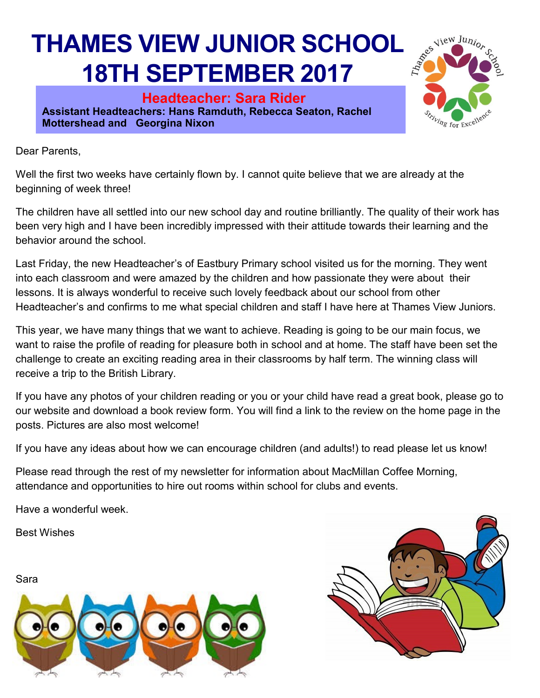## **THAMES VIEW JUNIOR SCHOOL 18TH SEPTEMBER 2017**

**Headteacher: Sara Rider Assistant Headteachers: Hans Ramduth, Rebecca Seaton, Rachel Mottershead and Georgina Nixon** 



Dear Parents,

Well the first two weeks have certainly flown by. I cannot quite believe that we are already at the beginning of week three!

The children have all settled into our new school day and routine brilliantly. The quality of their work has been very high and I have been incredibly impressed with their attitude towards their learning and the behavior around the school.

Last Friday, the new Headteacher's of Eastbury Primary school visited us for the morning. They went into each classroom and were amazed by the children and how passionate they were about their lessons. It is always wonderful to receive such lovely feedback about our school from other Headteacher's and confirms to me what special children and staff I have here at Thames View Juniors.

This year, we have many things that we want to achieve. Reading is going to be our main focus, we want to raise the profile of reading for pleasure both in school and at home. The staff have been set the challenge to create an exciting reading area in their classrooms by half term. The winning class will receive a trip to the British Library.

If you have any photos of your children reading or you or your child have read a great book, please go to our website and download a book review form. You will find a link to the review on the home page in the posts. Pictures are also most welcome!

If you have any ideas about how we can encourage children (and adults!) to read please let us know!

Please read through the rest of my newsletter for information about MacMillan Coffee Morning, attendance and opportunities to hire out rooms within school for clubs and events.

Have a wonderful week.

Best Wishes



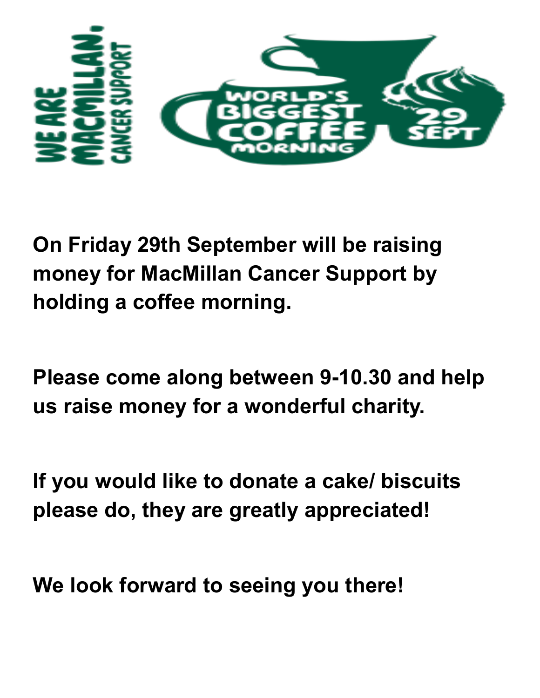

**On Friday 29th September will be raising money for MacMillan Cancer Support by holding a coffee morning.** 

**Please come along between 9-10.30 and help us raise money for a wonderful charity.** 

**If you would like to donate a cake/ biscuits please do, they are greatly appreciated!** 

**We look forward to seeing you there!**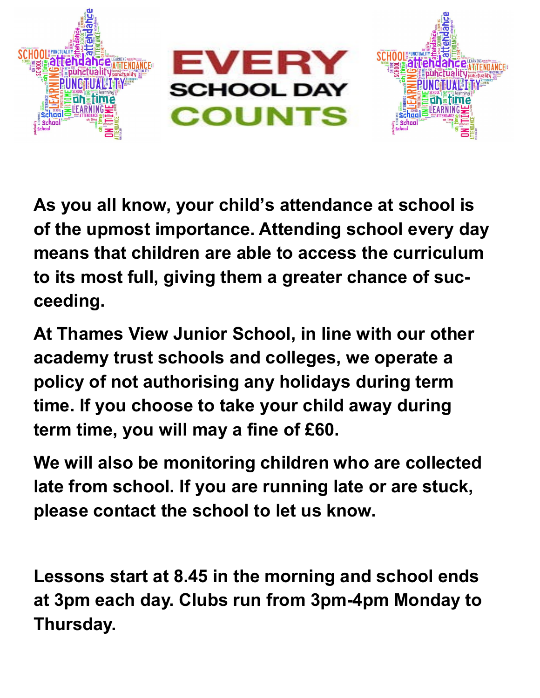

**As you all know, your child's attendance at school is of the upmost importance. Attending school every day means that children are able to access the curriculum to its most full, giving them a greater chance of succeeding.** 

**At Thames View Junior School, in line with our other academy trust schools and colleges, we operate a policy of not authorising any holidays during term time. If you choose to take your child away during term time, you will may a fine of £60.** 

**We will also be monitoring children who are collected late from school. If you are running late or are stuck, please contact the school to let us know.** 

**Lessons start at 8.45 in the morning and school ends at 3pm each day. Clubs run from 3pm-4pm Monday to Thursday.**